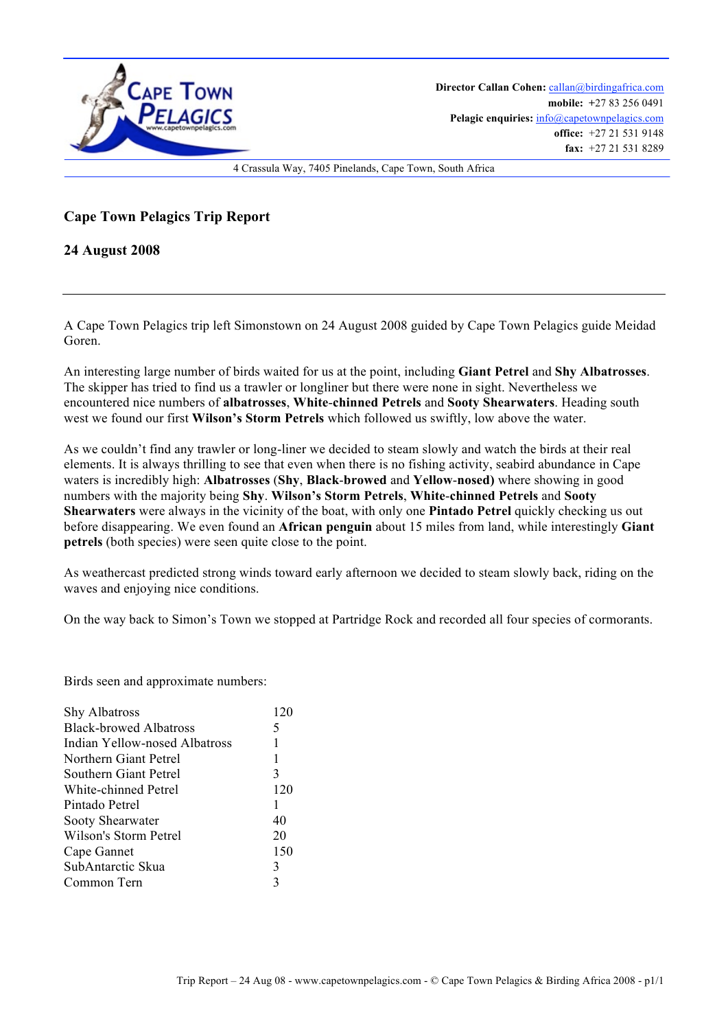

**Director Callan Cohen:** callan@birdingafrica.com **mobile: +**27 83 256 0491 Pelagic enquiries:  $info@capetownpelagics.com$ **office:** +27 21 531 9148 **fax:** +27 21 531 8289

4 Crassula Way, 7405 Pinelands, Cape Town, South Africa

## **Cape Town Pelagics Trip Report**

**24 August 2008**

A Cape Town Pelagics trip left Simonstown on 24 August 2008 guided by Cape Town Pelagics guide Meidad Goren.

An interesting large number of birds waited for us at the point, including **Giant Petrel** and **Shy Albatrosses**. The skipper has tried to find us a trawler or longliner but there were none in sight. Nevertheless we encountered nice numbers of **albatrosses**, **White**-**chinned Petrels** and **Sooty Shearwaters**. Heading south west we found our first **Wilson's Storm Petrels** which followed us swiftly, low above the water.

As we couldn't find any trawler or long-liner we decided to steam slowly and watch the birds at their real elements. It is always thrilling to see that even when there is no fishing activity, seabird abundance in Cape waters is incredibly high: **Albatrosses** (**Shy**, **Black**-**browed** and **Yellow**-**nosed)** where showing in good numbers with the majority being **Shy**. **Wilson's Storm Petrels**, **White**-**chinned Petrels** and **Sooty Shearwaters** were always in the vicinity of the boat, with only one **Pintado Petrel** quickly checking us out before disappearing. We even found an **African penguin** about 15 miles from land, while interestingly **Giant petrels** (both species) were seen quite close to the point.

As weathercast predicted strong winds toward early afternoon we decided to steam slowly back, riding on the waves and enjoying nice conditions.

On the way back to Simon's Town we stopped at Partridge Rock and recorded all four species of cormorants.

Birds seen and approximate numbers:

| <b>Shy Albatross</b>          | 120 |
|-------------------------------|-----|
| <b>Black-browed Albatross</b> | 5   |
| Indian Yellow-nosed Albatross | 1   |
| Northern Giant Petrel         | 1   |
| Southern Giant Petrel         | 3   |
| White-chinned Petrel          | 120 |
| Pintado Petrel                | 1   |
| Sooty Shearwater              | 40  |
| Wilson's Storm Petrel         | 20  |
| Cape Gannet                   | 150 |
| SubAntarctic Skua             | 3   |
| Common Tern                   | 3   |